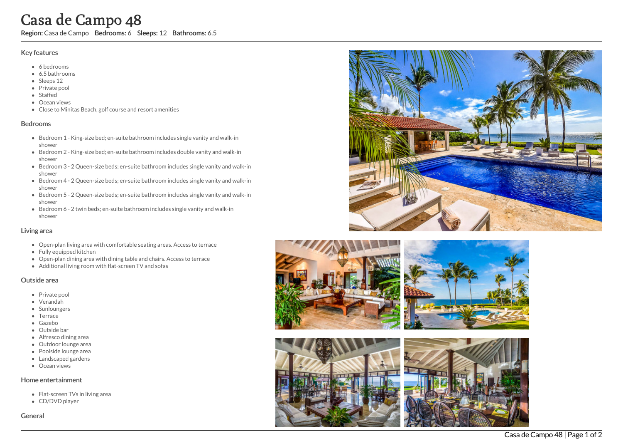# **Case**<br> **Case**<br> **Case**<br> **Case**<br> **Case**<br> **Case**<br> **Case**<br> **Case**<br> **Case**<br> **Case**<br> **Case**<br> **Case**<br> **Case**<br> **Case**<br> **Bed**<br> **Bed**<br> **e** Bed<br> **e** Bed<br> **e** Bed<br> **e** Bed<br> **e** Bed<br> **e** Bed<br> **e** Bed<br> **e** Bed<br> **e** Bed<br> **e** Bed<br> **e** Be a d e C a m p o 4 8

Region: Casa de Campo Bedrooms: 6 Sleeps: 12 Bathrooms: 6.5

### Key features

- 6 b e d r o o m s
- 6.5 b a t h r o o m s
- Sleeps 12
- Private pool
- Staffed
- Ocean views
- Close to Minitas Beach, golf course and resort amenities

### **Bedrooms**

- Bedroom 1 King-size bed; en-suite bathroom includes single vanity and walk-in s h o w e r
- Bedroom 2 King-size bed; en-suite bathroom includes double vanity and walk-in s h o w e r
- Bedroom 3 2 Queen-size beds; en-suite bathroom includes single vanity and walk-in s h o w e r
- Bedroom 4 2 Queen-size beds; en-suite bathroom includes single vanity and walk-in s h o w e r
- Bedroom 5 2 Queen-size beds; en-suite bathroom includes single vanity and walk-in s h o w e r
- Bedroom 6 2 twin beds; en-suite bathroom includes single vanity and walk-in s h o w e r

### Living area

- Open-plan living area with comfortable seating areas. Access to terrace
- Fully equipped kitchen
- Open-plan dining area with dining table and chairs. Access to terrace
- Additional living room with flat-screen TV and sofas

## Outside area

- Private pool
- Verandah
- Sunloungers
- Terrace
- Gazebo
- Outside bar
- Alfresco dining area
- Outdoor lounge area
- Poolside lounge area
- Landscaped gardens
- Ocean views

### Home entertainment

- Flat-screen TVs in living area
- CD/DVD player

Genera